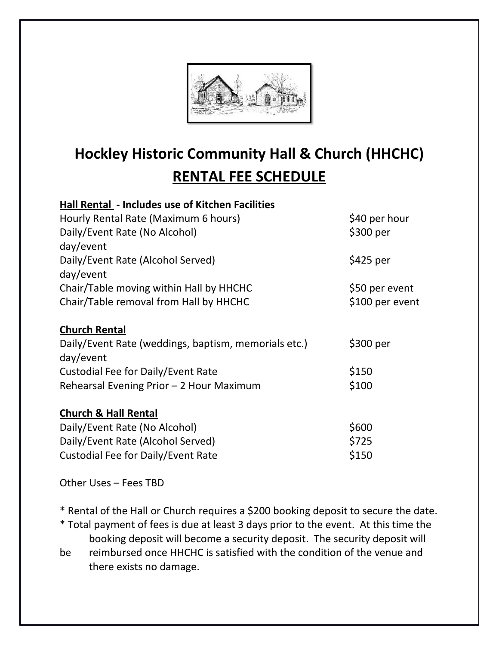

## **Hockley Historic Community Hall & Church (HHCHC) RENTAL FEE SCHEDULE**

## **Hall Rental - Includes use of Kitchen Facilities**  $H$  Dota (Maximum 6 h

| Hourly Rental Rate (Maximum 6 hours)                 | \$40 per hour   |
|------------------------------------------------------|-----------------|
| Daily/Event Rate (No Alcohol)                        | \$300 per       |
| day/event                                            |                 |
| Daily/Event Rate (Alcohol Served)                    | \$425 per       |
| day/event                                            |                 |
| Chair/Table moving within Hall by HHCHC              | \$50 per event  |
| Chair/Table removal from Hall by HHCHC               | \$100 per event |
| <b>Church Rental</b>                                 |                 |
| Daily/Event Rate (weddings, baptism, memorials etc.) | \$300 per       |
| day/event                                            |                 |
| Custodial Fee for Daily/Event Rate                   | \$150           |
| Rehearsal Evening Prior - 2 Hour Maximum             | \$100           |
| <b>Church &amp; Hall Rental</b>                      |                 |
| Daily/Event Rate (No Alcohol)                        | \$600           |
| Daily/Event Rate (Alcohol Served)                    | \$725           |
| Custodial Fee for Daily/Event Rate                   | \$150           |

Other Uses – Fees TBD

\* Rental of the Hall or Church requires a \$200 booking deposit to secure the date.

- \* Total payment of fees is due at least 3 days prior to the event. At this time the booking deposit will become a security deposit. The security deposit will
- be reimbursed once HHCHC is satisfied with the condition of the venue and there exists no damage.